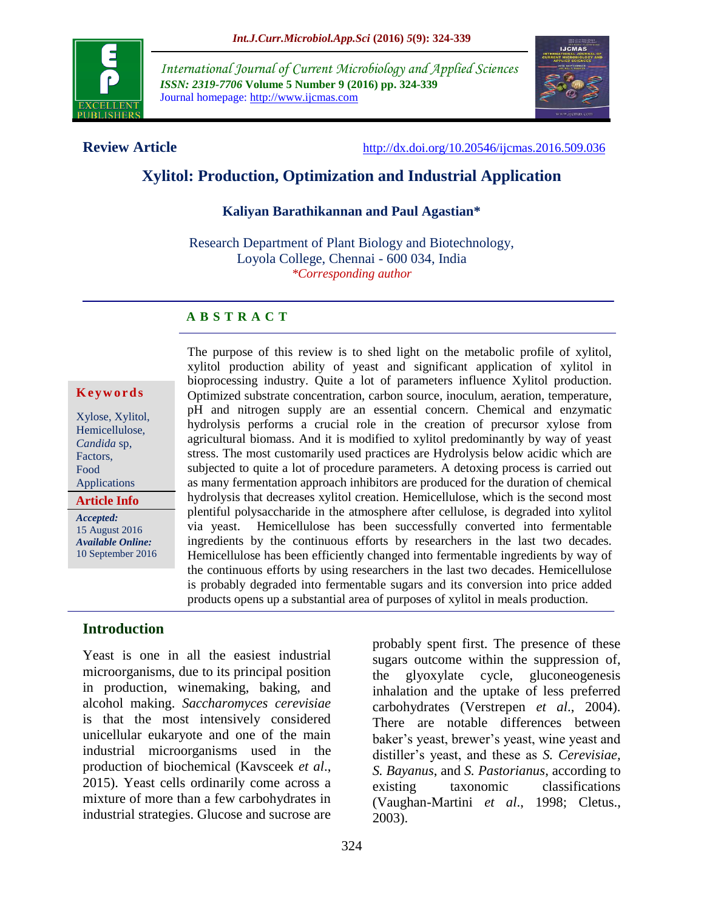

*International Journal of Current Microbiology and Applied Sciences ISSN: 2319-7706* **Volume 5 Number 9 (2016) pp. 324-339** Journal homepage: http://www.ijcmas.com



**Review Article** <http://dx.doi.org/10.20546/ijcmas.2016.509.036>

# **Xylitol: Production, Optimization and Industrial Application**

#### **Kaliyan Barathikannan and Paul Agastian\***

Research Department of Plant Biology and Biotechnology, Loyola College, Chennai - 600 034, India *\*Corresponding author*

## **A B S T R A C T**

#### **K e y w o r d s**

Xylose, Xylitol, Hemicellulose, *Candida* sp, Factors, Food Applications

**Article Info**

*Accepted:*  15 August 2016 *Available Online:* 10 September 2016 The purpose of this review is to shed light on the metabolic profile of xylitol, xylitol production ability of yeast and significant application of xylitol in bioprocessing industry. Quite a lot of parameters influence Xylitol production. Optimized substrate concentration, carbon source, inoculum, aeration, temperature, pH and nitrogen supply are an essential concern. Chemical and enzymatic hydrolysis performs a crucial role in the creation of precursor xylose from agricultural biomass. And it is modified to xylitol predominantly by way of yeast stress. The most customarily used practices are Hydrolysis below acidic which are subjected to quite a lot of procedure parameters. A detoxing process is carried out as many fermentation approach inhibitors are produced for the duration of chemical hydrolysis that decreases xylitol creation. Hemicellulose, which is the second most plentiful polysaccharide in the atmosphere after cellulose, is degraded into xylitol via yeast. Hemicellulose has been successfully converted into fermentable ingredients by the continuous efforts by researchers in the last two decades. Hemicellulose has been efficiently changed into fermentable ingredients by way of the continuous efforts by using researchers in the last two decades. Hemicellulose is probably degraded into fermentable sugars and its conversion into price added products opens up a substantial area of purposes of xylitol in meals production.

# **Introduction**

Yeast is one in all the easiest industrial microorganisms, due to its principal position in production, winemaking, baking, and alcohol making. *Saccharomyces cerevisiae* is that the most intensively considered unicellular eukaryote and one of the main industrial microorganisms used in the production of biochemical (Kavsceek *et al*., 2015). Yeast cells ordinarily come across a mixture of more than a few carbohydrates in industrial strategies. Glucose and sucrose are

probably spent first. The presence of these sugars outcome within the suppression of, the glyoxylate cycle, gluconeogenesis inhalation and the uptake of less preferred carbohydrates (Verstrepen *et al*., 2004). There are notable differences between baker's yeast, brewer's yeast, wine yeast and distiller's yeast, and these as *S. Cerevisiae, S. Bayanus*, and *S. Pastorianus*, according to existing taxonomic classifications (Vaughan-Martini *et al*., 1998; Cletus., 2003).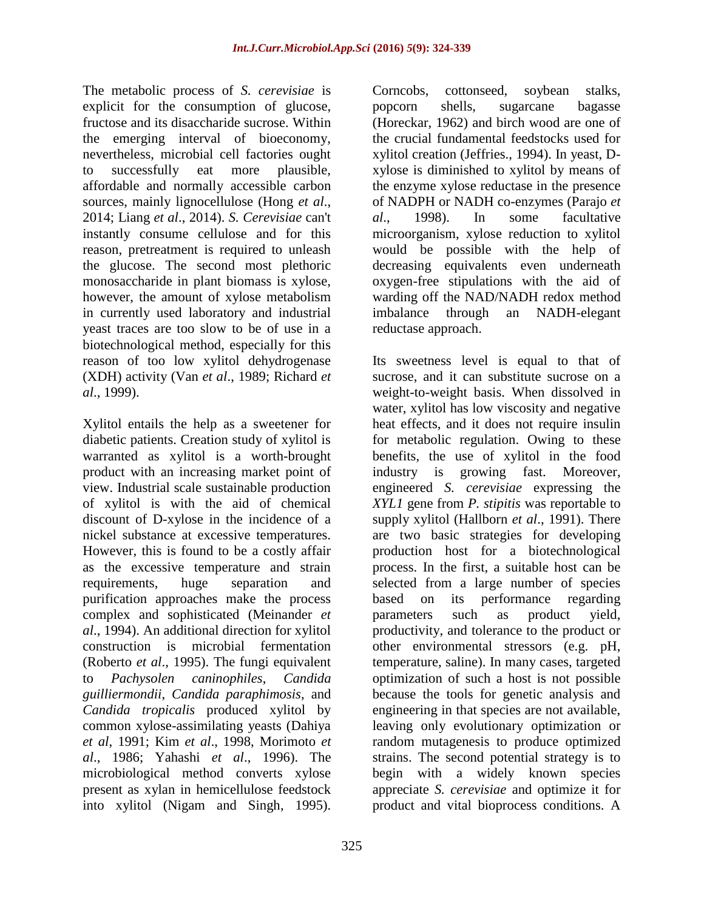The metabolic process of *S. cerevisiae* is explicit for the consumption of glucose, fructose and its disaccharide sucrose. Within the emerging interval of bioeconomy, nevertheless, microbial cell factories ought to successfully eat more plausible, affordable and normally accessible carbon sources, mainly lignocellulose (Hong *et al*., 2014; Liang *et al*., 2014). *S. Cerevisiae* can't instantly consume cellulose and for this reason, pretreatment is required to unleash the glucose. The second most plethoric monosaccharide in plant biomass is xylose, however, the amount of xylose metabolism in currently used laboratory and industrial yeast traces are too slow to be of use in a biotechnological method, especially for this reason of too low xylitol dehydrogenase (XDH) activity (Van *et al*., 1989; Richard *et al*., 1999).

Xylitol entails the help as a sweetener for diabetic patients. Creation study of xylitol is warranted as xylitol is a worth-brought product with an increasing market point of view. Industrial scale sustainable production of xylitol is with the aid of chemical discount of D-xylose in the incidence of a nickel substance at excessive temperatures. However, this is found to be a costly affair as the excessive temperature and strain requirements, huge separation and purification approaches make the process complex and sophisticated (Meinander *et al*., 1994). An additional direction for xylitol construction is microbial fermentation (Roberto *et al*., 1995). The fungi equivalent to *Pachysolen caninophiles*, *Candida guilliermondii*, *Candida paraphimosis*, and *Candida tropicalis* produced xylitol by common xylose-assimilating yeasts (Dahiya *et al*, 1991; Kim *et al*., 1998, Morimoto *et al*., 1986; Yahashi *et al*., 1996). The microbiological method converts xylose present as xylan in hemicellulose feedstock into xylitol (Nigam and Singh, 1995).

325

Corncobs, cottonseed, soybean stalks, popcorn shells, sugarcane bagasse (Horeckar, 1962) and birch wood are one of the crucial fundamental feedstocks used for xylitol creation (Jeffries., 1994). In yeast, Dxylose is diminished to xylitol by means of the enzyme xylose reductase in the presence of NADPH or NADH co-enzymes (Parajo *et al*., 1998). In some facultative microorganism, xylose reduction to xylitol would be possible with the help of decreasing equivalents even underneath oxygen-free stipulations with the aid of warding off the NAD/NADH redox method imbalance through an NADH-elegant reductase approach.

Its sweetness level is equal to that of sucrose, and it can substitute sucrose on a weight-to-weight basis. When dissolved in water, xylitol has low viscosity and negative heat effects, and it does not require insulin for metabolic regulation. Owing to these benefits, the use of xylitol in the food industry is growing fast. Moreover, engineered *S. cerevisiae* expressing the *XYL1* gene from *P. stipitis* was reportable to supply xylitol (Hallborn *et al*., 1991). There are two basic strategies for developing production host for a biotechnological process. In the first, a suitable host can be selected from a large number of species based on its performance regarding parameters such as product yield, productivity, and tolerance to the product or other environmental stressors (e.g. pH, temperature, saline). In many cases, targeted optimization of such a host is not possible because the tools for genetic analysis and engineering in that species are not available, leaving only evolutionary optimization or random mutagenesis to produce optimized strains. The second potential strategy is to begin with a widely known species appreciate *S. cerevisiae* and optimize it for product and vital bioprocess conditions. A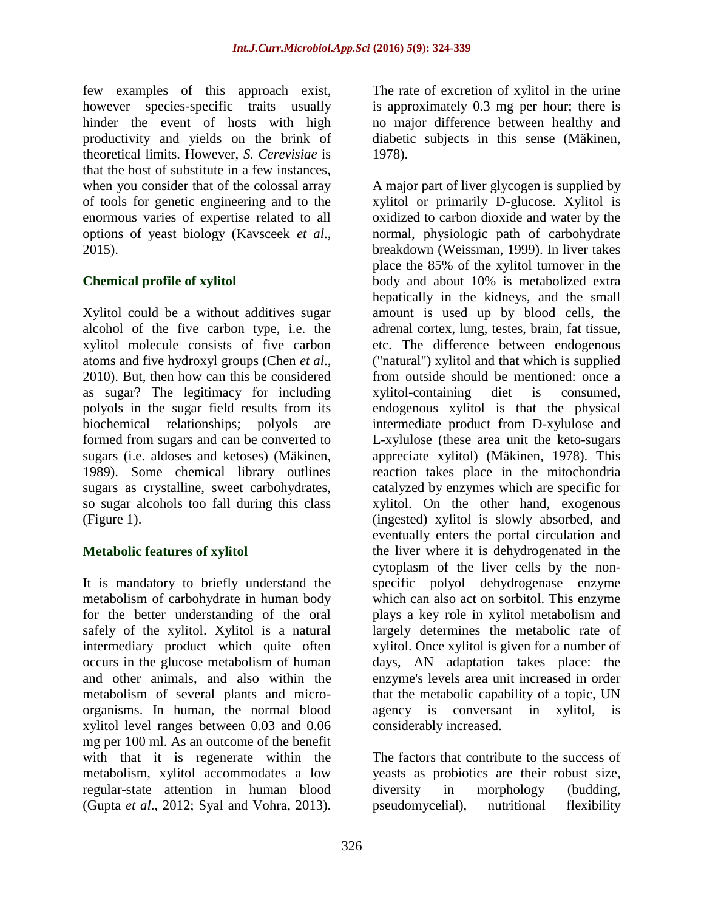few examples of this approach exist, however species-specific traits usually hinder the event of hosts with high productivity and yields on the brink of theoretical limits. However, *S. Cerevisiae* is that the host of substitute in a few instances, when you consider that of the colossal array of tools for genetic engineering and to the enormous varies of expertise related to all options of yeast biology (Kavsceek *et al*., 2015).

#### **Chemical profile of xylitol**

Xylitol could be a without additives sugar alcohol of the five carbon type, i.e. the xylitol molecule consists of five carbon atoms and five hydroxyl groups (Chen *et al*., 2010). But, then how can this be considered as sugar? The legitimacy for including polyols in the sugar field results from its biochemical relationships; polyols are formed from sugars and can be converted to sugars (i.e. aldoses and ketoses) (Mäkinen, 1989). Some chemical library outlines sugars as crystalline, sweet carbohydrates, so sugar alcohols too fall during this class (Figure 1).

#### **Metabolic features of xylitol**

It is mandatory to briefly understand the metabolism of carbohydrate in human body for the better understanding of the oral safely of the xylitol. Xylitol is a natural intermediary product which quite often occurs in the glucose metabolism of human and other animals, and also within the metabolism of several plants and microorganisms. In human, the normal blood xylitol level ranges between 0.03 and 0.06 mg per 100 ml. As an outcome of the benefit with that it is regenerate within the metabolism, xylitol accommodates a low regular-state attention in human blood (Gupta *et al*., 2012; Syal and Vohra, 2013).

The rate of excretion of xylitol in the urine is approximately 0.3 mg per hour; there is no major difference between healthy and diabetic subjects in this sense (Mäkinen, 1978).

A major part of liver glycogen is supplied by xylitol or primarily D-glucose. Xylitol is oxidized to carbon dioxide and water by the normal, physiologic path of carbohydrate breakdown (Weissman, 1999). In liver takes place the 85% of the xylitol turnover in the body and about 10% is metabolized extra hepatically in the kidneys, and the small amount is used up by blood cells, the adrenal cortex, lung, testes, brain, fat tissue, etc. The difference between endogenous ("natural") xylitol and that which is supplied from outside should be mentioned: once a xylitol-containing diet is consumed, endogenous xylitol is that the physical intermediate product from D-xylulose and L-xylulose (these area unit the keto-sugars appreciate xylitol) (Mäkinen, 1978). This reaction takes place in the mitochondria catalyzed by enzymes which are specific for xylitol. On the other hand, exogenous (ingested) xylitol is slowly absorbed, and eventually enters the portal circulation and the liver where it is dehydrogenated in the cytoplasm of the liver cells by the nonspecific polyol dehydrogenase enzyme which can also act on sorbitol. This enzyme plays a key role in xylitol metabolism and largely determines the metabolic rate of xylitol. Once xylitol is given for a number of days, AN adaptation takes place: the enzyme's levels area unit increased in order that the metabolic capability of a topic, UN agency is conversant in xylitol, is considerably increased.

The factors that contribute to the success of yeasts as probiotics are their robust size, diversity in morphology (budding, pseudomycelial), nutritional flexibility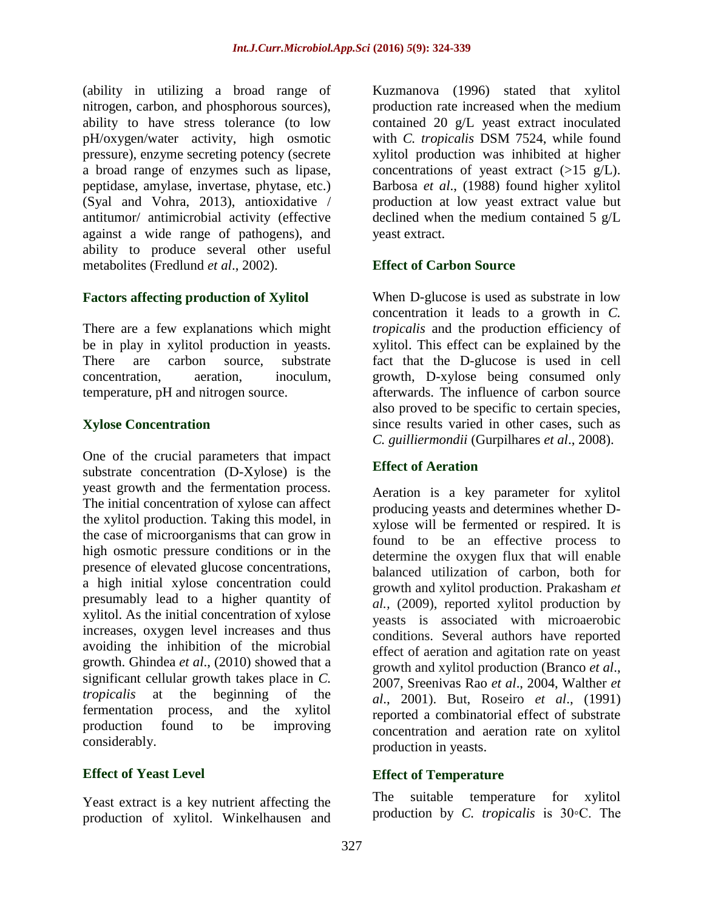(ability in utilizing a broad range of nitrogen, carbon, and phosphorous sources), ability to have stress tolerance (to low pH/oxygen/water activity, high osmotic pressure), enzyme secreting potency (secrete a broad range of enzymes such as lipase, peptidase, amylase, invertase, phytase, etc.) (Syal and Vohra, 2013), antioxidative / antitumor/ antimicrobial activity (effective against a wide range of pathogens), and ability to produce several other useful metabolites (Fredlund *et al*., 2002).

## **Factors affecting production of Xylitol**

There are a few explanations which might be in play in xylitol production in yeasts. There are carbon source, substrate concentration, aeration, inoculum, temperature, pH and nitrogen source.

## **Xylose Concentration**

One of the crucial parameters that impact substrate concentration (D-Xylose) is the yeast growth and the fermentation process. The initial concentration of xylose can affect the xylitol production. Taking this model, in the case of microorganisms that can grow in high osmotic pressure conditions or in the presence of elevated glucose concentrations, a high initial xylose concentration could presumably lead to a higher quantity of xylitol. As the initial concentration of xylose increases, oxygen level increases and thus avoiding the inhibition of the microbial growth. Ghindea *et al*., (2010) showed that a significant cellular growth takes place in *C. tropicalis* at the beginning of the fermentation process, and the xylitol production found to be improving considerably.

#### **Effect of Yeast Level**

Yeast extract is a key nutrient affecting the production of xylitol. Winkelhausen and Kuzmanova (1996) stated that xylitol production rate increased when the medium contained 20 g/L yeast extract inoculated with *C. tropicalis* DSM 7524, while found xylitol production was inhibited at higher concentrations of yeast extract  $(>15 \text{ g/L}).$ Barbosa *et al*., (1988) found higher xylitol production at low yeast extract value but declined when the medium contained 5 g/L yeast extract.

## **Effect of Carbon Source**

When D-glucose is used as substrate in low concentration it leads to a growth in *C. tropicalis* and the production efficiency of xylitol. This effect can be explained by the fact that the D-glucose is used in cell growth, D-xylose being consumed only afterwards. The influence of carbon source also proved to be specific to certain species, since results varied in other cases, such as *C. guilliermondii* (Gurpilhares *et al*., 2008).

#### **Effect of Aeration**

Aeration is a key parameter for xylitol producing yeasts and determines whether Dxylose will be fermented or respired. It is found to be an effective process to determine the oxygen flux that will enable balanced utilization of carbon, both for growth and xylitol production. Prakasham *et al.,* (2009), reported xylitol production by yeasts is associated with microaerobic conditions. Several authors have reported effect of aeration and agitation rate on yeast growth and xylitol production (Branco *et al*., 2007, Sreenivas Rao *et al*., 2004, Walther *et al*., 2001). But, Roseiro *et al*., (1991) reported a combinatorial effect of substrate concentration and aeration rate on xylitol production in yeasts.

#### **Effect of Temperature**

The suitable temperature for xylitol production by *C. tropicalis* is 30◦C. The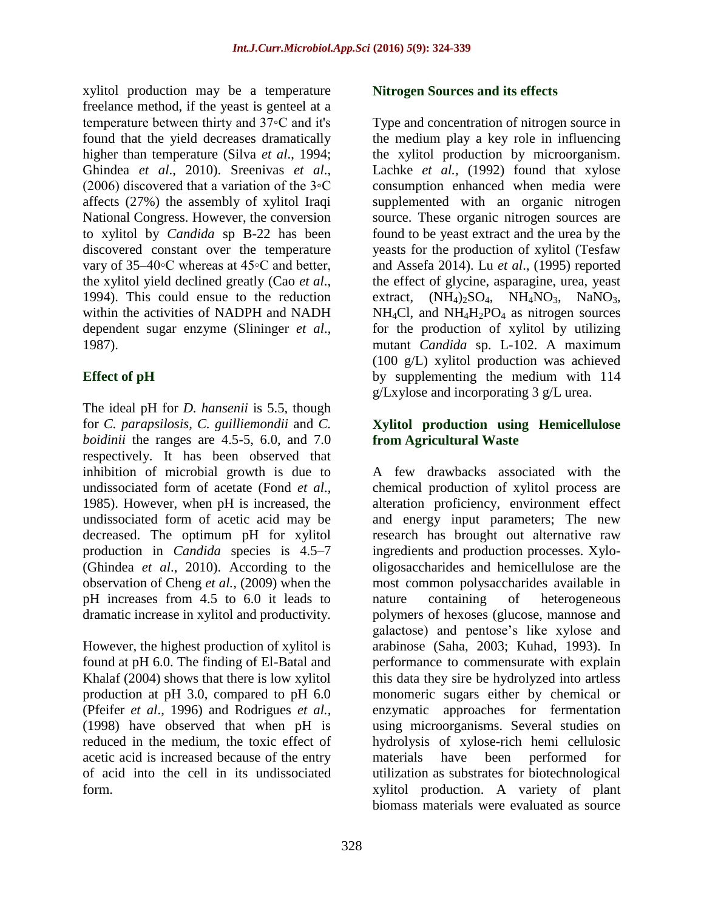xylitol production may be a temperature freelance method, if the yeast is genteel at a temperature between thirty and 37◦C and it's found that the yield decreases dramatically higher than temperature (Silva *et al*., 1994; Ghindea *et al*., 2010). Sreenivas *et al*., (2006) discovered that a variation of the 3◦C affects (27%) the assembly of xylitol Iraqi National Congress. However, the conversion to xylitol by *Candida* sp B-22 has been discovered constant over the temperature vary of 35–40◦C whereas at 45◦C and better, the xylitol yield declined greatly (Cao *et al*., 1994). This could ensue to the reduction within the activities of NADPH and NADH dependent sugar enzyme (Slininger *et al*., 1987).

# **Effect of pH**

The ideal pH for *D. hansenii* is 5.5, though for *C. parapsilosis, C. guilliemondii* and *C. boidinii* the ranges are 4.5-5, 6.0, and 7.0 respectively. It has been observed that inhibition of microbial growth is due to undissociated form of acetate (Fond *et al*., 1985). However, when pH is increased, the undissociated form of acetic acid may be decreased. The optimum pH for xylitol production in *Candida* species is 4.5–7 (Ghindea *et al*., 2010). According to the observation of Cheng *et al.,* (2009) when the pH increases from 4.5 to 6.0 it leads to dramatic increase in xylitol and productivity.

However, the highest production of xylitol is found at pH 6.0. The finding of El-Batal and Khalaf (2004) shows that there is low xylitol production at pH 3.0, compared to pH 6.0 (Pfeifer *et al*., 1996) and Rodrigues *et al.,* (1998) have observed that when pH is reduced in the medium, the toxic effect of acetic acid is increased because of the entry of acid into the cell in its undissociated form.

#### **Nitrogen Sources and its effects**

Type and concentration of nitrogen source in the medium play a key role in influencing the xylitol production by microorganism. Lachke *et al.*, (1992) found that xylose consumption enhanced when media were supplemented with an organic nitrogen source. These organic nitrogen sources are found to be yeast extract and the urea by the yeasts for the production of xylitol (Tesfaw and Assefa 2014). Lu *et al*., (1995) reported the effect of glycine, asparagine, urea, yeast extract,  $(NH_4)_2SO_4$ ,  $NH_4NO_3$ ,  $NaNO_3$ ,  $NH<sub>4</sub>Cl$ , and  $NH<sub>4</sub>H<sub>2</sub>PO<sub>4</sub>$  as nitrogen sources for the production of xylitol by utilizing mutant *Candida* sp. L-102. A maximum (100 g/L) xylitol production was achieved by supplementing the medium with 114 g/Lxylose and incorporating 3 g/L urea.

## **Xylitol production using Hemicellulose from Agricultural Waste**

A few drawbacks associated with the chemical production of xylitol process are alteration proficiency, environment effect and energy input parameters; The new research has brought out alternative raw ingredients and production processes. Xylooligosaccharides and hemicellulose are the most common polysaccharides available in nature containing of heterogeneous polymers of hexoses (glucose, mannose and galactose) and pentose's like xylose and arabinose (Saha, 2003; Kuhad, 1993). In performance to commensurate with explain this data they sire be hydrolyzed into artless monomeric sugars either by chemical or enzymatic approaches for fermentation using microorganisms. Several studies on hydrolysis of xylose-rich hemi cellulosic materials have been performed for utilization as substrates for biotechnological xylitol production. A variety of plant biomass materials were evaluated as source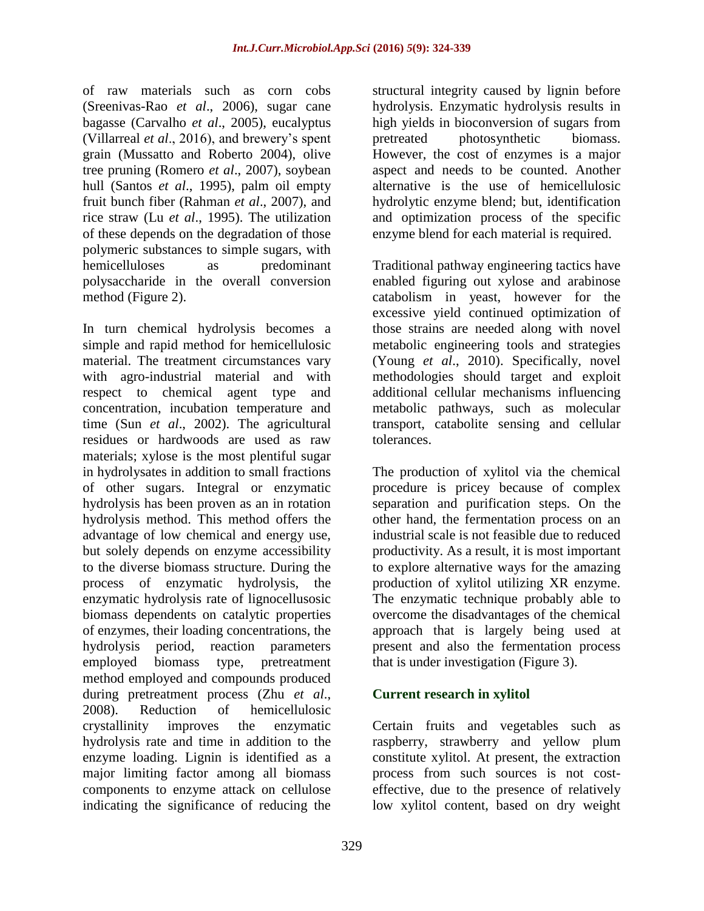of raw materials such as corn cobs (Sreenivas-Rao *et al*., 2006), sugar cane bagasse (Carvalho *et al*., 2005), eucalyptus (Villarreal *et al*., 2016), and brewery's spent grain (Mussatto and Roberto 2004), olive tree pruning (Romero *et al*., 2007), soybean hull (Santos *et al*., 1995), palm oil empty fruit bunch fiber (Rahman *et al*., 2007), and rice straw (Lu *et al*., 1995). The utilization of these depends on the degradation of those polymeric substances to simple sugars, with hemicelluloses as predominant polysaccharide in the overall conversion method (Figure 2).

In turn chemical hydrolysis becomes a simple and rapid method for hemicellulosic material. The treatment circumstances vary with agro-industrial material and with respect to chemical agent type and concentration, incubation temperature and time (Sun *et al*., 2002). The agricultural residues or hardwoods are used as raw materials; xylose is the most plentiful sugar in hydrolysates in addition to small fractions of other sugars. Integral or enzymatic hydrolysis has been proven as an in rotation hydrolysis method. This method offers the advantage of low chemical and energy use, but solely depends on enzyme accessibility to the diverse biomass structure. During the process of enzymatic hydrolysis, the enzymatic hydrolysis rate of lignocellusosic biomass dependents on catalytic properties of enzymes, their loading concentrations, the hydrolysis period, reaction parameters employed biomass type, pretreatment method employed and compounds produced during pretreatment process (Zhu *et al*., 2008). Reduction of hemicellulosic crystallinity improves the enzymatic hydrolysis rate and time in addition to the enzyme loading. Lignin is identified as a major limiting factor among all biomass components to enzyme attack on cellulose indicating the significance of reducing the

structural integrity caused by lignin before hydrolysis. Enzymatic hydrolysis results in high yields in bioconversion of sugars from pretreated photosynthetic biomass. However, the cost of enzymes is a major aspect and needs to be counted. Another alternative is the use of hemicellulosic hydrolytic enzyme blend; but, identification and optimization process of the specific enzyme blend for each material is required.

Traditional pathway engineering tactics have enabled figuring out xylose and arabinose catabolism in yeast, however for the excessive yield continued optimization of those strains are needed along with novel metabolic engineering tools and strategies (Young *et al*., 2010). Specifically, novel methodologies should target and exploit additional cellular mechanisms influencing metabolic pathways, such as molecular transport, catabolite sensing and cellular tolerances.

The production of xylitol via the chemical procedure is pricey because of complex separation and purification steps. On the other hand, the fermentation process on an industrial scale is not feasible due to reduced productivity. As a result, it is most important to explore alternative ways for the amazing production of xylitol utilizing XR enzyme. The enzymatic technique probably able to overcome the disadvantages of the chemical approach that is largely being used at present and also the fermentation process that is under investigation (Figure 3).

# **Current research in xylitol**

Certain fruits and vegetables such as raspberry, strawberry and yellow plum constitute xylitol. At present, the extraction process from such sources is not costeffective, due to the presence of relatively low xylitol content, based on dry weight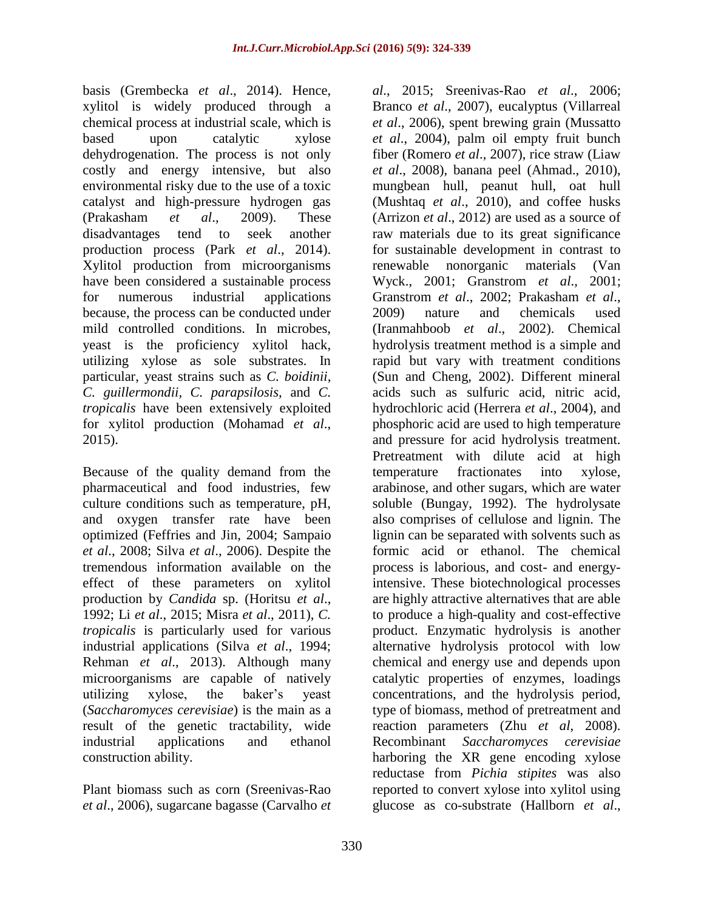basis (Grembecka *et al*., 2014). Hence, xylitol is widely produced through a chemical process at industrial scale, which is based upon catalytic xylose dehydrogenation. The process is not only costly and energy intensive, but also environmental risky due to the use of a toxic catalyst and high-pressure hydrogen gas (Prakasham *et al*., 2009). These disadvantages tend to seek another production process (Park *et al*., 2014). Xylitol production from microorganisms have been considered a sustainable process for numerous industrial applications because, the process can be conducted under mild controlled conditions. In microbes, yeast is the proficiency xylitol hack, utilizing xylose as sole substrates. In particular, yeast strains such as *C. boidinii, C. guillermondii, C. parapsilosis,* and *C. tropicalis* have been extensively exploited for xylitol production (Mohamad *et al*., 2015).

Because of the quality demand from the pharmaceutical and food industries, few culture conditions such as temperature, pH, and oxygen transfer rate have been optimized (Feffries and Jin, 2004; Sampaio *et al*., 2008; Silva *et al*., 2006). Despite the tremendous information available on the effect of these parameters on xylitol production by *Candida* sp. (Horitsu *et al*., 1992; Li *et al*., 2015; Misra *et al*., 2011), *C. tropicalis* is particularly used for various industrial applications (Silva *et al*., 1994; Rehman *et al*., 2013). Although many microorganisms are capable of natively utilizing xylose, the baker's yeast (*Saccharomyces cerevisiae*) is the main as a result of the genetic tractability, wide industrial applications and ethanol construction ability.

Plant biomass such as corn (Sreenivas-Rao *et al*., 2006), sugarcane bagasse (Carvalho *et*  *al*., 2015; Sreenivas-Rao *et al*., 2006; Branco *et al*., 2007), eucalyptus (Villarreal *et al*., 2006), spent brewing grain (Mussatto *et al*., 2004), palm oil empty fruit bunch fiber (Romero *et al*., 2007), rice straw (Liaw *et al*., 2008), banana peel (Ahmad., 2010), mungbean hull, peanut hull, oat hull (Mushtaq *et al*., 2010), and coffee husks (Arrizon *et al*., 2012) are used as a source of raw materials due to its great significance for sustainable development in contrast to renewable nonorganic materials (Van Wyck., 2001; Granstrom *et al*., 2001; Granstrom *et al*., 2002; Prakasham *et al*., 2009) nature and chemicals used (Iranmahboob *et al*., 2002). Chemical hydrolysis treatment method is a simple and rapid but vary with treatment conditions (Sun and Cheng, 2002). Different mineral acids such as sulfuric acid, nitric acid, hydrochloric acid (Herrera *et al*., 2004), and phosphoric acid are used to high temperature and pressure for acid hydrolysis treatment. Pretreatment with dilute acid at high temperature fractionates into xylose, arabinose, and other sugars, which are water soluble (Bungay, 1992). The hydrolysate also comprises of cellulose and lignin. The lignin can be separated with solvents such as formic acid or ethanol. The chemical process is laborious, and cost- and energyintensive. These biotechnological processes are highly attractive alternatives that are able to produce a high-quality and cost-effective product. Enzymatic hydrolysis is another alternative hydrolysis protocol with low chemical and energy use and depends upon catalytic properties of enzymes, loadings concentrations, and the hydrolysis period, type of biomass, method of pretreatment and reaction parameters (Zhu *et al*, 2008). Recombinant *Saccharomyces cerevisiae*  harboring the XR gene encoding xylose reductase from *Pichia stipites* was also reported to convert xylose into xylitol using glucose as co-substrate (Hallborn *et al*.,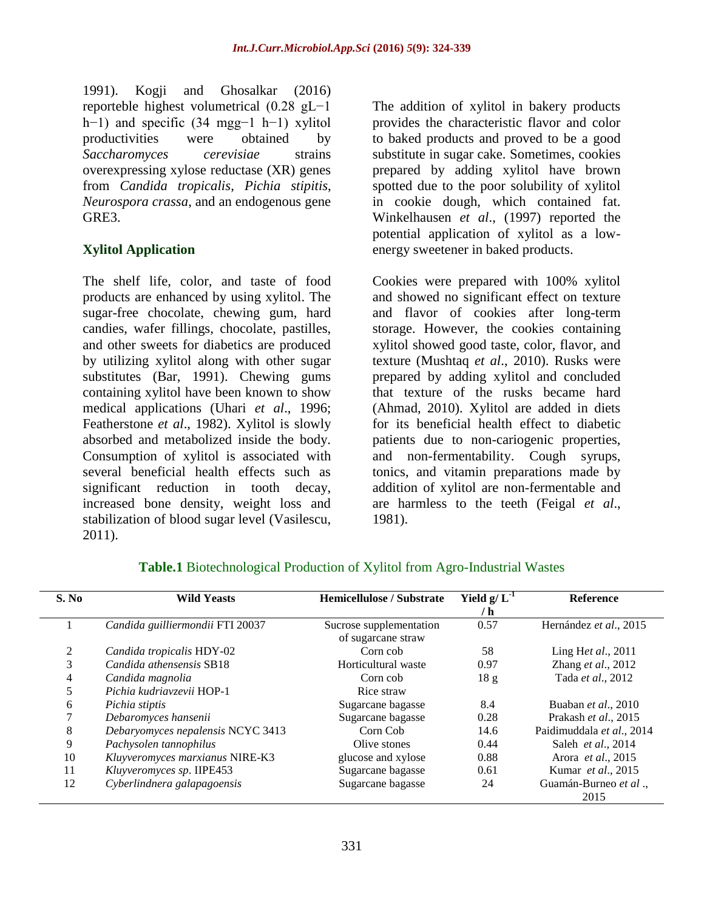1991). Kogji and Ghosalkar (2016) reporteble highest volumetrical (0.28 gL−1 h−1) and specific (34 mgg−1 h−1) xylitol productivities were obtained by *Saccharomyces cerevisiae* strains overexpressing xylose reductase (XR) genes from *Candida tropicalis*, *Pichia stipitis*, *Neurospora crassa*, and an endogenous gene GRE3.

#### **Xylitol Application**

The shelf life, color, and taste of food products are enhanced by using xylitol. The sugar-free chocolate, chewing gum, hard candies, wafer fillings, chocolate, pastilles, and other sweets for diabetics are produced by utilizing xylitol along with other sugar substitutes (Bar, 1991). Chewing gums containing xylitol have been known to show medical applications (Uhari *et al*., 1996; Featherstone *et al*., 1982). Xylitol is slowly absorbed and metabolized inside the body. Consumption of xylitol is associated with several beneficial health effects such as significant reduction in tooth decay, increased bone density, weight loss and stabilization of blood sugar level (Vasilescu, 2011).

The addition of xylitol in bakery products provides the characteristic flavor and color to baked products and proved to be a good substitute in sugar cake. Sometimes, cookies prepared by adding xylitol have brown spotted due to the poor solubility of xylitol in cookie dough, which contained fat. Winkelhausen *et al*., (1997) reported the potential application of xylitol as a lowenergy sweetener in baked products.

Cookies were prepared with 100% xylitol and showed no significant effect on texture and flavor of cookies after long-term storage. However, the cookies containing xylitol showed good taste, color, flavor, and texture (Mushtaq *et al*., 2010). Rusks were prepared by adding xylitol and concluded that texture of the rusks became hard (Ahmad, 2010). Xylitol are added in diets for its beneficial health effect to diabetic patients due to non-cariogenic properties, and non-fermentability. Cough syrups, tonics, and vitamin preparations made by addition of xylitol are non-fermentable and are harmless to the teeth (Feigal *et al*., 1981).

| S. No | <b>Wild Yeasts</b>                | <b>Hemicellulose / Substrate</b>              | Yield $g/L^{-1}$ | Reference                   |
|-------|-----------------------------------|-----------------------------------------------|------------------|-----------------------------|
|       |                                   |                                               | / h              |                             |
|       | Candida guilliermondii FTI 20037  | Sucrose supplementation<br>of sugarcane straw | 0.57             | Hernández et al., 2015      |
|       | Candida tropicalis HDY-02         | Corn cob                                      | 58               | Ling Het al., 2011          |
| 3     | Candida athensensis SB18          | Horticultural waste                           | 0.97             | Zhang et al., 2012          |
| 4     | Candida magnolia                  | Corn cob                                      | 18g              | Tada et al., 2012           |
| 5     | Pichia kudriavzevii HOP-1         | Rice straw                                    |                  |                             |
| 6     | Pichia stiptis                    | Sugarcane bagasse                             | 8.4              | Buaban et al., 2010         |
|       | Debaromyces hansenii              | Sugarcane bagasse                             | 0.28             | Prakash et al., 2015        |
| 8     | Debaryomyces nepalensis NCYC 3413 | Corn Cob                                      | 14.6             | Paidimuddala et al., 2014   |
| 9     | Pachysolen tannophilus            | Olive stones                                  | 0.44             | Saleh et al., 2014          |
| 10    | Kluyveromyces marxianus NIRE-K3   | glucose and xylose                            | 0.88             | Arora <i>et al.</i> , 2015  |
| 11    | Kluyveromyces sp. IIPE453         | Sugarcane bagasse                             | 0.61             | Kumar et al., 2015          |
| 12    | Cyberlindnera galapagoensis       | Sugarcane bagasse                             | 24               | Guamán-Burneo et al<br>2015 |

#### **Table.1** Biotechnological Production of Xylitol from Agro-Industrial Wastes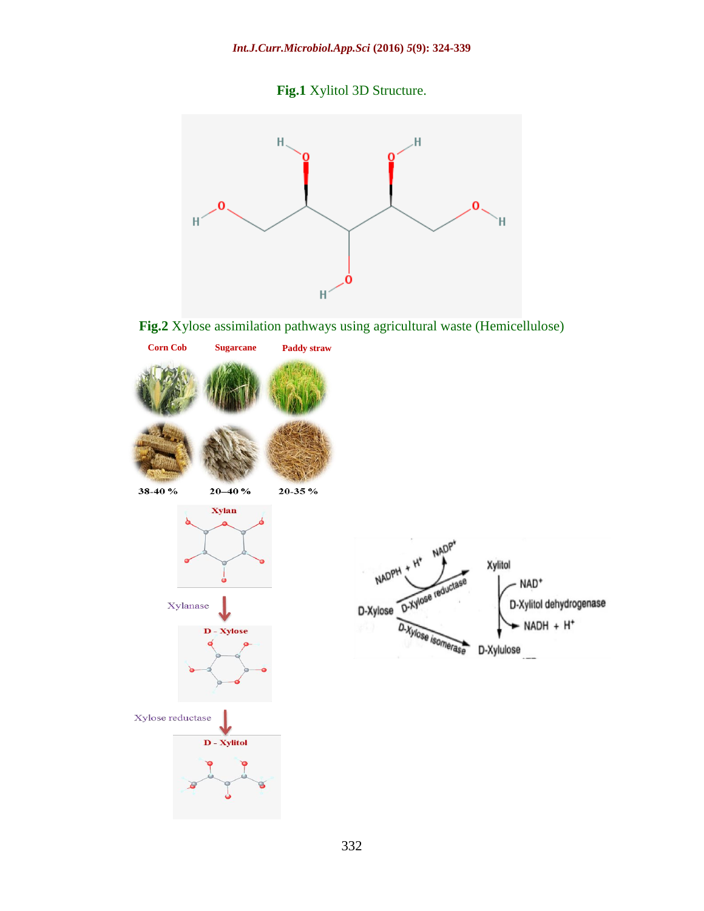



**Fig.2** Xylose assimilation pathways using agricultural waste (Hemicellulose)

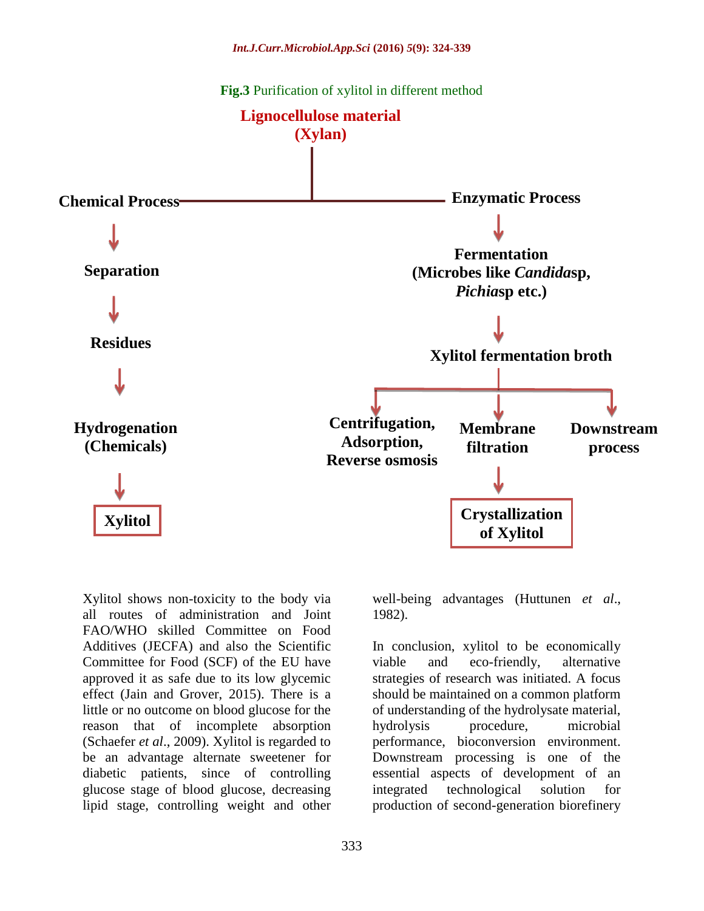

Xylitol shows non-toxicity to the body via all routes of administration and Joint FAO/WHO skilled Committee on Food Additives (JECFA) and also the Scientific Committee for Food (SCF) of the EU have approved it as safe due to its low glycemic effect (Jain and Grover, 2015). There is a little or no outcome on blood glucose for the reason that of incomplete absorption (Schaefer *et al*., 2009). Xylitol is regarded to be an advantage alternate sweetener for diabetic patients, since of controlling glucose stage of blood glucose, decreasing lipid stage, controlling weight and other

well-being advantages (Huttunen *et al*., 1982).

In conclusion, xylitol to be economically viable and eco-friendly, alternative strategies of research was initiated. A focus should be maintained on a common platform of understanding of the hydrolysate material, hydrolysis procedure, microbial performance, bioconversion environment. Downstream processing is one of the essential aspects of development of an integrated technological solution for production of second-generation biorefinery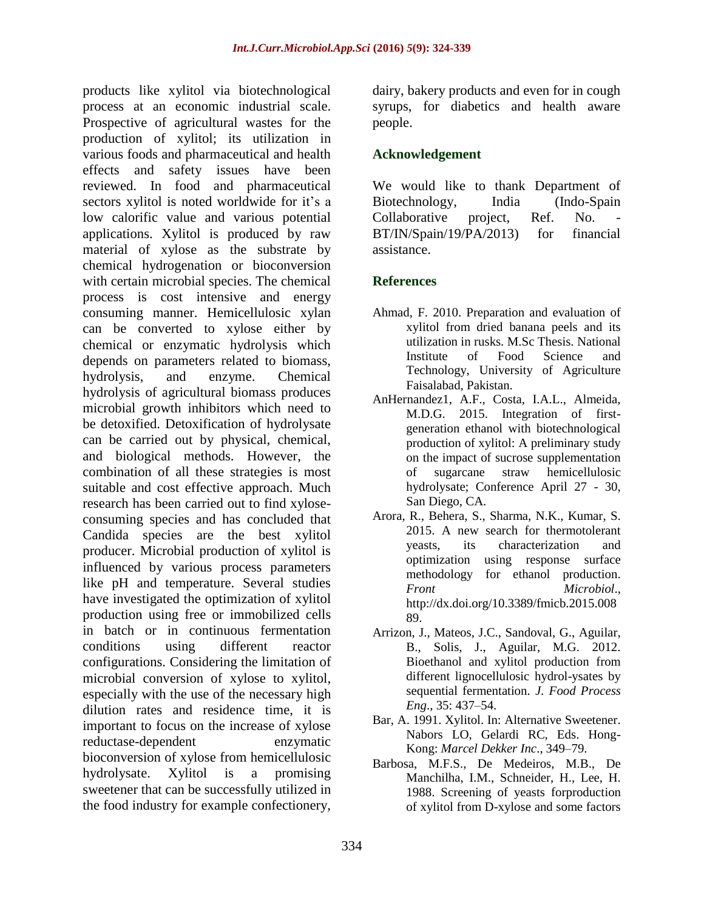products like xylitol via biotechnological process at an economic industrial scale. Prospective of agricultural wastes for the production of xylitol; its utilization in various foods and pharmaceutical and health effects and safety issues have been reviewed. In food and pharmaceutical sectors xylitol is noted worldwide for it's a low calorific value and various potential applications. Xylitol is produced by raw material of xylose as the substrate by chemical hydrogenation or bioconversion with certain microbial species. The chemical process is cost intensive and energy consuming manner. Hemicellulosic xylan can be converted to xylose either by chemical or enzymatic hydrolysis which depends on parameters related to biomass, hydrolysis, and enzyme. Chemical hydrolysis of agricultural biomass produces microbial growth inhibitors which need to be detoxified. Detoxification of hydrolysate can be carried out by physical, chemical, and biological methods. However, the combination of all these strategies is most suitable and cost effective approach. Much research has been carried out to find xyloseconsuming species and has concluded that Candida species are the best xylitol producer. Microbial production of xylitol is influenced by various process parameters like pH and temperature. Several studies have investigated the optimization of xylitol production using free or immobilized cells in batch or in continuous fermentation conditions using different reactor configurations. Considering the limitation of microbial conversion of xylose to xylitol, especially with the use of the necessary high dilution rates and residence time, it is important to focus on the increase of xylose reductase-dependent enzymatic bioconversion of xylose from hemicellulosic hydrolysate. Xylitol is a promising sweetener that can be successfully utilized in the food industry for example confectionery,

dairy, bakery products and even for in cough syrups, for diabetics and health aware people.

#### **Acknowledgement**

We would like to thank Department of Biotechnology, India (Indo-Spain Collaborative project, Ref. No. BT/IN/Spain/19/PA/2013) for financial assistance.

# **References**

- Ahmad, F. 2010. Preparation and evaluation of xylitol from dried banana peels and its utilization in rusks. M.Sc Thesis. National Institute of Food Science and Technology, University of Agriculture Faisalabad, Pakistan.
- AnHernandez1, A.F., Costa, I.A.L., Almeida, M.D.G. 2015. Integration of firstgeneration ethanol with biotechnological production of xylitol: A preliminary study on the impact of sucrose supplementation of sugarcane straw hemicellulosic hydrolysate; Conference April 27 - 30, San Diego, CA.
- Arora, R., Behera, S., Sharma, N.K., Kumar, S. 2015. A new search for thermotolerant yeasts, its characterization and optimization using response surface methodology for ethanol production. *Front Microbiol*., http://dx.doi.org/10.3389/fmicb.2015.008 89.
- Arrizon, J., Mateos, J.C., Sandoval, G., Aguilar, B., Solis, J., Aguilar, M.G. 2012. Bioethanol and xylitol production from different lignocellulosic hydrol-ysates by sequential fermentation. *J. Food Process Eng*., 35: 437–54.
- Bar, A. 1991. Xylitol. In: Alternative Sweetener. Nabors LO, Gelardi RC, Eds. Hong-Kong: *Marcel Dekker Inc*., 349–79.
- Barbosa, M.F.S., De Medeiros, M.B., De Manchilha, I.M., Schneider, H., Lee, H. 1988. Screening of yeasts forproduction of xylitol from D-xylose and some factors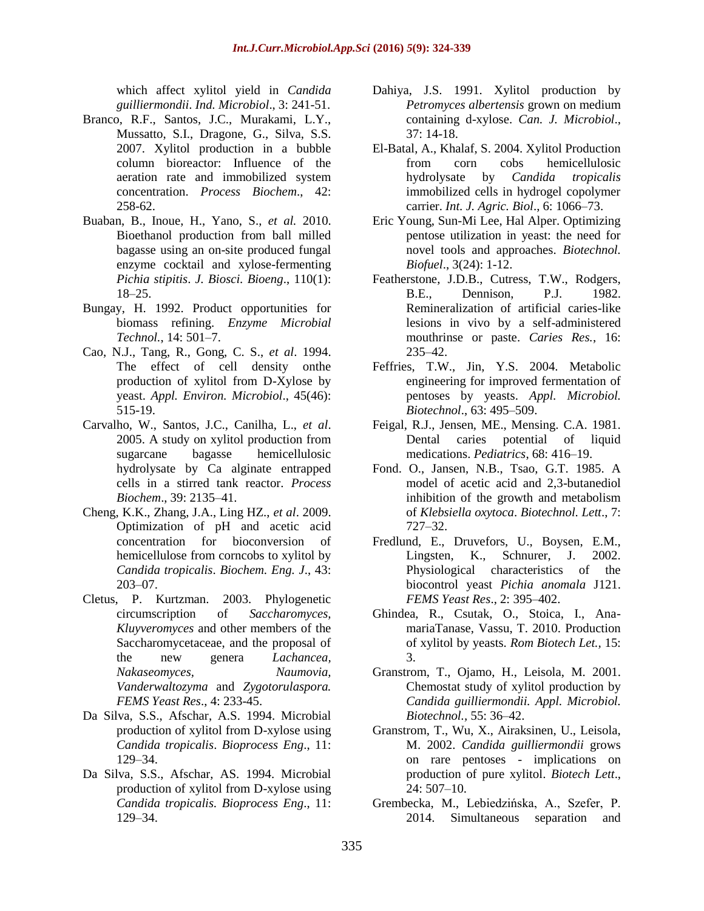which affect xylitol yield in *Candida guilliermondii*. *Ind. Microbiol*., 3: 241-51.

- Branco, R.F., Santos, J.C., Murakami, L.Y., Mussatto, S.I., Dragone, G., Silva, S.S. 2007. Xylitol production in a bubble column bioreactor: Influence of the aeration rate and immobilized system concentration. *Process Biochem*., 42: 258-62.
- Buaban, B., Inoue, H., Yano, S., *et al.* 2010. Bioethanol production from ball milled bagasse using an on-site produced fungal enzyme cocktail and xylose-fermenting *Pichia stipitis*. *J. Biosci. Bioeng*., 110(1): 18–25.
- Bungay, H. 1992. Product opportunities for biomass refining. *Enzyme Microbial Technol.*, 14: 501–7.
- Cao, N.J., Tang, R., Gong, C. S., *et al*. 1994. The effect of cell density onthe production of xylitol from D-Xylose by yeast. *Appl. Environ. Microbiol*., 45(46): 515-19.
- Carvalho, W., Santos, J.C., Canilha, L., *et al*. 2005. A study on xylitol production from sugarcane bagasse hemicellulosic hydrolysate by Ca alginate entrapped cells in a stirred tank reactor. *Process Biochem*., 39: 2135–41.
- Cheng, K.K., Zhang, J.A., Ling HZ., *et al*. 2009. Optimization of pH and acetic acid concentration for bioconversion of hemicellulose from corncobs to xylitol by *Candida tropicalis*. *Biochem. Eng. J*., 43: 203–07.
- Cletus, P. Kurtzman. 2003. Phylogenetic circumscription of *Saccharomyces, Kluyveromyces* and other members of the Saccharomycetaceae, and the proposal of the new genera *Lachancea, Nakaseomyces, Naumovia, Vanderwaltozyma* and *Zygotorulaspora. FEMS Yeast Res*., 4: 233-45.
- Da Silva, S.S., Afschar, A.S. 1994. Microbial production of xylitol from D-xylose using *Candida tropicalis*. *Bioprocess Eng*., 11: 129–34.
- Da Silva, S.S., Afschar, AS. 1994. Microbial production of xylitol from D-xylose using *Candida tropicalis. Bioprocess Eng*., 11: 129–34.
- Dahiya, J.S. 1991. Xylitol production by *Petromyces albertensis* grown on medium containing d-xylose. *Can. J. Microbiol*., 37: 14-18.
- El-Batal, A., Khalaf, S. 2004. Xylitol Production from corn cobs hemicellulosic hydrolysate by *Candida tropicalis* immobilized cells in hydrogel copolymer carrier. *Int. J. Agric. Biol*., 6: 1066–73.
- Eric Young, Sun-Mi Lee, Hal Alper. Optimizing pentose utilization in yeast: the need for novel tools and approaches. *Biotechnol. Biofuel*., 3(24): 1-12.
- Featherstone, J.D.B., Cutress, T.W., Rodgers, B.E., Dennison, P.J. 1982. Remineralization of artificial caries-like lesions in vivo by a self-administered mouthrinse or paste. *Caries Res.*, 16: 235–42.
- Feffries, T.W., Jin, Y.S. 2004. Metabolic engineering for improved fermentation of pentoses by yeasts. *Appl. Microbiol. Biotechnol*., 63: 495–509.
- Feigal, R.J., Jensen, ME., Mensing. C.A. 1981. Dental caries potential of liquid medications. *Pediatrics*, 68: 416–19.
- Fond. O., Jansen, N.B., Tsao, G.T. 1985. A model of acetic acid and 2,3-butanediol inhibition of the growth and metabolism of *Klebsiella oxytoca*. *Biotechnol. Lett*., 7: 727–32.
- Fredlund, E., Druvefors, U., Boysen, E.M., Lingsten, K., Schnurer, J. 2002. Physiological characteristics of the biocontrol yeast *Pichia anomala* J121. *FEMS Yeast Res*., 2: 395–402.
- Ghindea, R., Csutak, O., Stoica, I., AnamariaTanase, Vassu, T. 2010. Production of xylitol by yeasts. *Rom Biotech Let.,* 15: 3.
- Granstrom, T., Ojamo, H., Leisola, M. 2001. Chemostat study of xylitol production by *Candida guilliermondii. Appl. Microbiol. Biotechnol.,* 55: 36–42.
- Granstrom, T., Wu, X., Airaksinen, U., Leisola, M. 2002. *Candida guilliermondii* grows on rare pentoses - implications on production of pure xylitol. *Biotech Lett*., 24: 507–10.
- Grembecka, M., Lebiedzińska, A., Szefer, P. 2014. Simultaneous separation and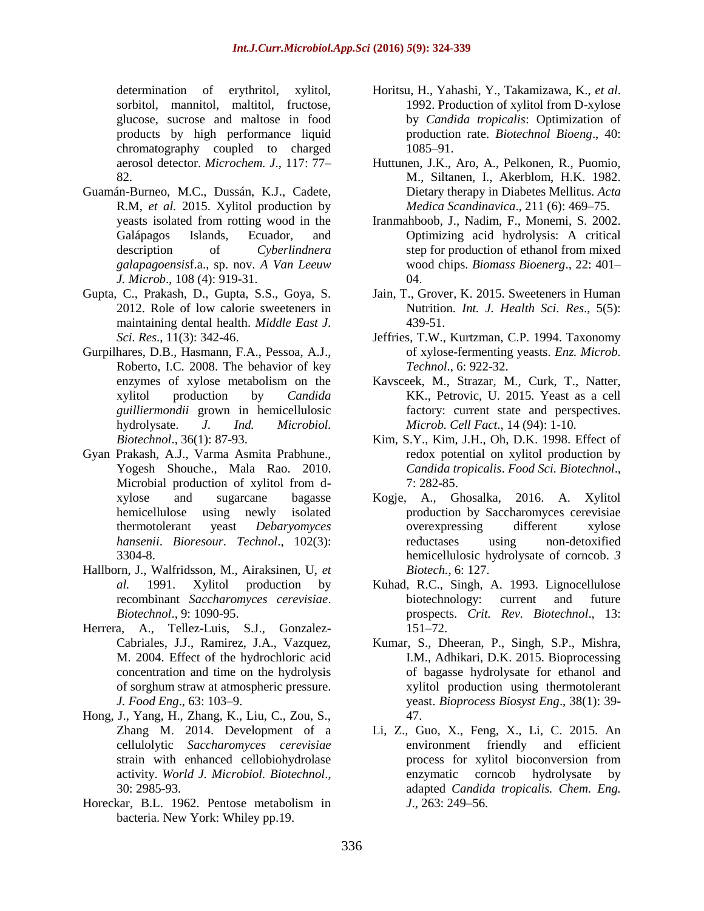determination of erythritol, xylitol, sorbitol, mannitol, maltitol, fructose, glucose, sucrose and maltose in food products by high performance liquid chromatography coupled to charged aerosol detector. *Microchem. J*., 117: 77– 82.

- Guamán-Burneo, M.C., Dussán, K.J., Cadete, R.M, *et al.* 2015. Xylitol production by yeasts isolated from rotting wood in the Galápagos Islands, Ecuador, and description of *Cyberlindnera galapagoensis*f.a., sp. nov. *A Van Leeuw J. Microb*., 108 (4): 919-31.
- Gupta, C., Prakash, D., Gupta, S.S., Goya, S. 2012. Role of low calorie sweeteners in maintaining dental health. *Middle East J. Sci. Res*., 11(3): 342-46.
- Gurpilhares, D.B., Hasmann, F.A., Pessoa, A.J., Roberto, I.C. 2008. The behavior of key enzymes of xylose metabolism on the xylitol production by *Candida guilliermondii* grown in hemicellulosic hydrolysate. *J. Ind. Microbiol. Biotechnol*., 36(1): 87-93.
- Gyan Prakash, A.J., Varma Asmita Prabhune., Yogesh Shouche., Mala Rao. 2010. Microbial production of xylitol from dxylose and sugarcane bagasse hemicellulose using newly isolated thermotolerant yeast *Debaryomyces hansenii*. *Bioresour. Technol*., 102(3): 3304-8.
- Hallborn, J., Walfridsson, M., Airaksinen, U, *et al.* 1991. Xylitol production by recombinant *Saccharomyces cerevisiae*. *Biotechnol*., 9: 1090-95.
- Herrera, A., Tellez-Luis, S.J., Gonzalez-Cabriales, J.J., Ramirez, J.A., Vazquez, M. 2004. Effect of the hydrochloric acid concentration and time on the hydrolysis of sorghum straw at atmospheric pressure. *J. Food Eng*., 63: 103–9.
- Hong, J., Yang, H., Zhang, K., Liu, C., Zou, S., Zhang M. 2014. Development of a cellulolytic *Saccharomyces cerevisiae* strain with enhanced cellobiohydrolase activity. *World J. Microbiol. Biotechnol*., 30: 2985-93.
- Horeckar, B.L. 1962. Pentose metabolism in bacteria. New York: Whiley pp.19.
- Horitsu, H., Yahashi, Y., Takamizawa, K., *et al*. 1992. Production of xylitol from D-xylose by *Candida tropicalis*: Optimization of production rate. *Biotechnol Bioeng*., 40: 1085–91.
- Huttunen, J.K., Aro, A., Pelkonen, R., Puomio, M., Siltanen, I., Akerblom, H.K. 1982. Dietary therapy in Diabetes Mellitus. *Acta Medica Scandinavica*., 211 (6): 469–75.
- Iranmahboob, J., Nadim, F., Monemi, S. 2002. Optimizing acid hydrolysis: A critical step for production of ethanol from mixed wood chips. *Biomass Bioenerg*., 22: 401– 04.
- Jain, T., Grover, K. 2015. Sweeteners in Human Nutrition. *Int. J. Health Sci. Res*., 5(5): 439-51.
- Jeffries, T.W., Kurtzman, C.P. 1994. Taxonomy of xylose-fermenting yeasts. *Enz. Microb. Technol*., 6: 922-32.
- Kavsceek, M., Strazar, M., Curk, T., Natter, KK., Petrovic, U. 2015. Yeast as a cell factory: current state and perspectives. *Microb. Cell Fact*., 14 (94): 1-10.
- Kim, S.Y., Kim, J.H., Oh, D.K. 1998. Effect of redox potential on xylitol production by *Candida tropicalis*. *Food Sci. Biotechnol*., 7: 282-85.
- Kogje, A., Ghosalka, 2016. A. Xylitol production by Saccharomyces cerevisiae overexpressing different xylose reductases using non-detoxified hemicellulosic hydrolysate of corncob. *3 Biotech.*, 6: 127.
- Kuhad, R.C., Singh, A. 1993. Lignocellulose biotechnology: current and future prospects. *Crit. Rev. Biotechnol*., 13: 151–72.
- Kumar, S., Dheeran, P., Singh, S.P., Mishra, I.M., Adhikari, D.K. 2015. Bioprocessing of bagasse hydrolysate for ethanol and xylitol production using thermotolerant yeast. *Bioprocess Biosyst Eng*., 38(1): 39- 47.
- Li, Z., Guo, X., Feng, X., Li, C. 2015. An environment friendly and efficient process for xylitol bioconversion from enzymatic corncob hydrolysate by adapted *Candida tropicalis. Chem. Eng. J*., 263: 249–56.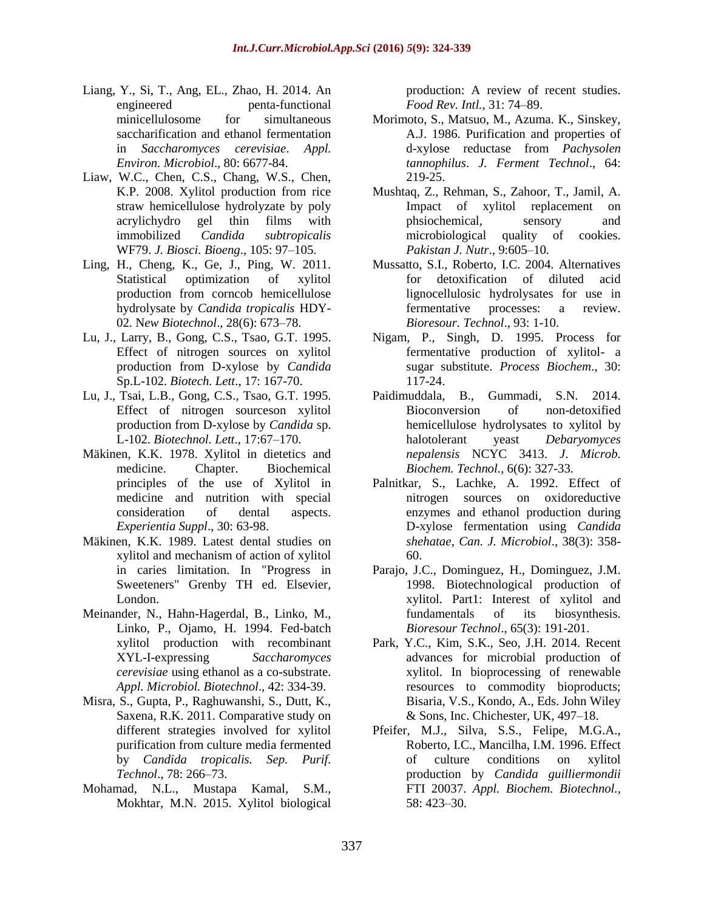- Liang, Y., Si, T., Ang, EL., Zhao, H. 2014. An engineered penta-functional minicellulosome for simultaneous saccharification and ethanol fermentation in *Saccharomyces cerevisiae*. *Appl. Environ. Microbiol*., 80: 6677-84.
- Liaw, W.C., Chen, C.S., Chang, W.S., Chen, K.P. 2008. Xylitol production from rice straw hemicellulose hydrolyzate by poly acrylichydro gel thin films with immobilized *Candida subtropicalis* WF79. *J. Biosci. Bioeng*., 105: 97–105.
- Ling, H., Cheng, K., Ge, J., Ping, W. 2011. Statistical optimization of xylitol production from corncob hemicellulose hydrolysate by *Candida tropicalis* HDY-02. N*ew Biotechnol*., 28(6): 673–78.
- Lu, J., Larry, B., Gong, C.S., Tsao, G.T. 1995. Effect of nitrogen sources on xylitol production from D-xylose by *Candida* Sp.L-102. *Biotech. Lett*., 17: 167-70.
- Lu, J., Tsai, L.B., Gong, C.S., Tsao, G.T. 1995. Effect of nitrogen sourceson xylitol production from D-xylose by *Candida* sp. L-102. *Biotechnol. Lett*., 17:67–170.
- Mäkinen, K.K. 1978. Xylitol in dietetics and medicine. Chapter. Biochemical principles of the use of Xylitol in medicine and nutrition with special consideration of dental aspects. *Experientia Suppl*., 30: 63-98.
- Mäkinen, K.K. 1989. Latest dental studies on xylitol and mechanism of action of xylitol in caries limitation. In "Progress in Sweeteners" Grenby TH ed. Elsevier, London.
- Meinander, N., Hahn-Hagerdal, B., Linko, M., Linko, P., Ojamo, H. 1994. Fed-batch xylitol production with recombinant XYL-I-expressing *Saccharomyces cerevisiae* using ethanol as a co-substrate. *Appl. Microbiol. Biotechnol*., 42: 334-39.
- Misra, S., Gupta, P., Raghuwanshi, S., Dutt, K., Saxena, R.K. 2011. Comparative study on different strategies involved for xylitol purification from culture media fermented by *Candida tropicalis. Sep. Purif. Technol*., 78: 266–73.
- Mohamad, N.L., Mustapa Kamal, S.M., Mokhtar, M.N. 2015. Xylitol biological

production: A review of recent studies. *Food Rev. Intl.*, 31: 74–89.

- Morimoto, S., Matsuo, M., Azuma. K., Sinskey, A.J. 1986. Purification and properties of d-xylose reductase from *Pachysolen tannophilus*. *J. Ferment Technol*., 64: 219-25.
- Mushtaq, Z., Rehman, S., Zahoor, T., Jamil, A. Impact of xylitol replacement on phsiochemical, sensory and microbiological quality of cookies. *Pakistan J. Nutr*., 9:605–10.
- Mussatto, S.I., Roberto, I.C. 2004. Alternatives for detoxification of diluted acid lignocellulosic hydrolysates for use in fermentative processes: a review. *Bioresour. Technol*., 93: 1-10.
- Nigam, P., Singh, D. 1995. Process for fermentative production of xylitol- a sugar substitute. *Process Biochem*., 30: 117-24.
- Paidimuddala, B., Gummadi, S.N. 2014. Bioconversion of non-detoxified hemicellulose hydrolysates to xylitol by halotolerant yeast *Debaryomyces nepalensis* NCYC 3413. *J*. *Microb. Biochem. Technol.,* 6(6): 327-33.
- Palnitkar, S., Lachke, A. 1992. Effect of nitrogen sources on oxidoreductive enzymes and ethanol production during D-xylose fermentation using *Candida shehatae*, *Can. J. Microbiol*., 38(3): 358- 60.
- Parajo, J.C., Dominguez, H., Dominguez, J.M. 1998. Biotechnological production of xylitol. Part1: Interest of xylitol and fundamentals of its biosynthesis. *Bioresour Technol*., 65(3): 191-201.
- Park, Y.C., Kim, S.K., Seo, J.H. 2014. Recent advances for microbial production of xylitol. In bioprocessing of renewable resources to commodity bioproducts; Bisaria, V.S., Kondo, A., Eds. John Wiley & Sons, Inc. Chichester, UK, 497–18.
- Pfeifer, M.J., Silva, S.S., Felipe, M.G.A., Roberto, I.C., Mancilha, I.M. 1996. Effect of culture conditions on xylitol production by *Candida guilliermondii* FTI 20037. *Appl. Biochem. Biotechnol.,*  58: 423–30.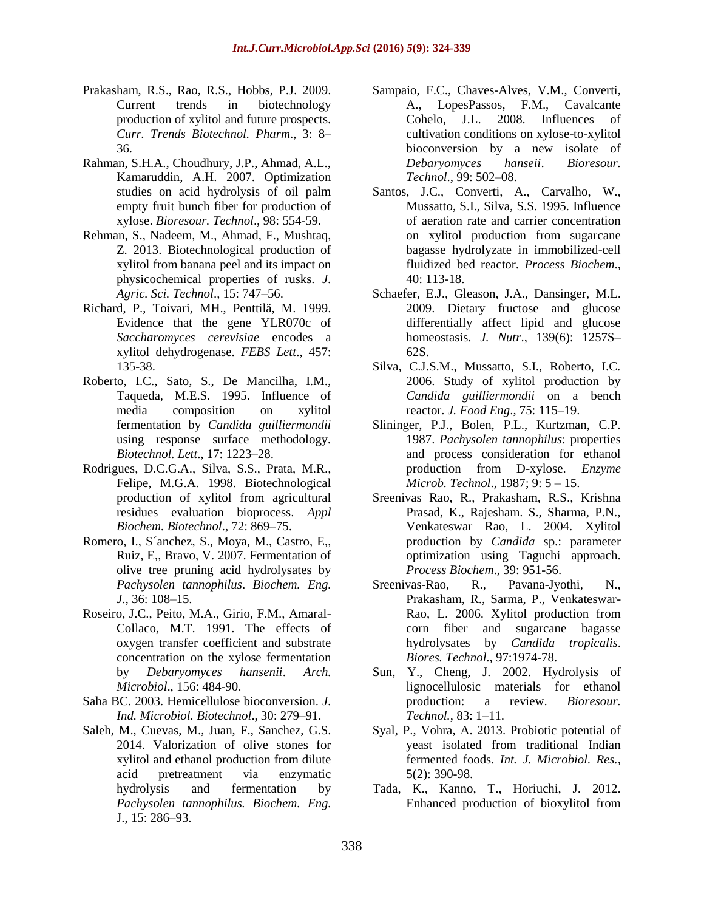- Prakasham, R.S., Rao, R.S., Hobbs, P.J. 2009. Current trends in biotechnology production of xylitol and future prospects. *Curr. Trends Biotechnol. Pharm*., 3: 8– 36.
- Rahman, S.H.A., Choudhury, J.P., Ahmad, A.L., Kamaruddin, A.H. 2007. Optimization studies on acid hydrolysis of oil palm empty fruit bunch fiber for production of xylose. *Bioresour. Technol*., 98: 554-59.
- Rehman, S., Nadeem, M., Ahmad, F., Mushtaq, Z. 2013. Biotechnological production of xylitol from banana peel and its impact on physicochemical properties of rusks. *J. Agric. Sci. Technol*., 15: 747–56.
- Richard, P., Toivari, MH., Penttilä, M. 1999. Evidence that the gene YLR070c of *Saccharomyces cerevisiae* encodes a xylitol dehydrogenase. *FEBS Lett*., 457: 135-38.
- Roberto, I.C., Sato, S., De Mancilha, I.M., Taqueda, M.E.S. 1995. Influence of media composition on xylitol fermentation by *Candida guilliermondii* using response surface methodology. *Biotechnol. Lett*., 17: 1223–28.
- Rodrigues, D.C.G.A., Silva, S.S., Prata, M.R., Felipe, M.G.A. 1998. Biotechnological production of xylitol from agricultural residues evaluation bioprocess. *Appl Biochem. Biotechnol*., 72: 869–75.
- Romero, I., S´anchez, S., Moya, M., Castro, E,, Ruiz, E,, Bravo, V. 2007. Fermentation of olive tree pruning acid hydrolysates by *Pachysolen tannophilus*. *Biochem. Eng. J*., 36: 108–15.
- Roseiro, J.C., Peito, M.A., Girio, F.M., Amaral-Collaco, M.T. 1991. The effects of oxygen transfer coefficient and substrate concentration on the xylose fermentation by *Debaryomyces hansenii*. *Arch. Microbiol*., 156: 484-90.
- Saha BC. 2003. Hemicellulose bioconversion. *J. Ind. Microbiol. Biotechnol*., 30: 279–91.
- Saleh, M., Cuevas, M., Juan, F., Sanchez, G.S. 2014. Valorization of olive stones for xylitol and ethanol production from dilute acid pretreatment via enzymatic hydrolysis and fermentation by *Pachysolen tannophilus. Biochem. Eng.* J., 15: 286–93.
- Sampaio, F.C., Chaves-Alves, V.M., Converti, A., LopesPassos, F.M., Cavalcante Cohelo, J.L. 2008. Influences of cultivation conditions on xylose-to-xylitol bioconversion by a new isolate of *Debaryomyces hanseii*. *Bioresour. Technol*., 99: 502–08.
- Santos, J.C., Converti, A., Carvalho, W., Mussatto, S.I., Silva, S.S. 1995. Influence of aeration rate and carrier concentration on xylitol production from sugarcane bagasse hydrolyzate in immobilized-cell fluidized bed reactor. *Process Biochem*., 40: 113-18.
- Schaefer, E.J., Gleason, J.A., Dansinger, M.L. 2009. Dietary fructose and glucose differentially affect lipid and glucose homeostasis. *J. Nutr*., 139(6): 1257S– 62S.
- Silva, C.J.S.M., Mussatto, S.I., Roberto, I.C. 2006. Study of xylitol production by *Candida guilliermondii* on a bench reactor. *J. Food Eng*., 75: 115–19.
- Slininger, P.J., Bolen, P.L., Kurtzman, C.P. 1987. *Pachysolen tannophilus*: properties and process consideration for ethanol production from D-xylose. *Enzyme Microb. Technol*., 1987; 9: 5 – 15.
- Sreenivas Rao, R., Prakasham, R.S., Krishna Prasad, K., Rajesham. S., Sharma, P.N., Venkateswar Rao, L. 2004. Xylitol production by *Candida* sp.: parameter optimization using Taguchi approach. *Process Biochem*., 39: 951-56.
- Sreenivas-Rao, R., Pavana-Jyothi, N., Prakasham, R., Sarma, P., Venkateswar-Rao, L. 2006. Xylitol production from corn fiber and sugarcane bagasse hydrolysates by *Candida tropicalis*. *Biores. Technol*., 97:1974-78.
- Sun, Y., Cheng, J. 2002. Hydrolysis of lignocellulosic materials for ethanol production: a review. *Bioresour. Technol.*, 83: 1–11.
- Syal, P., Vohra, A. 2013. Probiotic potential of yeast isolated from traditional Indian fermented foods. *Int. J. Microbiol. Res.,* 5(2): 390-98.
- Tada, K., Kanno, T., Horiuchi, J. 2012. Enhanced production of bioxylitol from